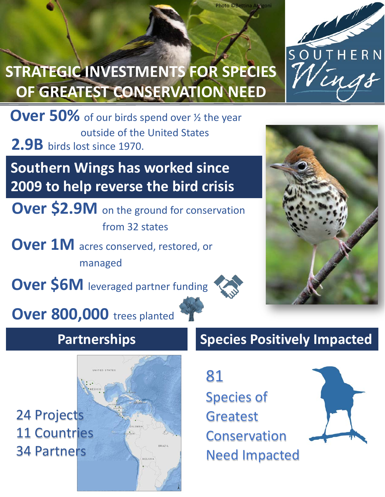

## **STRATEGIC INVESTMENTS FOR SPECIES OF GREATEST CONSERVATION NEED**

**Over 50%** of our birds spend over 1/2 the year outside of the United States **2.9B** birds lost since 1970.

**Southern Wings has worked since 2009 to help reverse the bird crisis**

**Over \$2.9M** on the ground for conservation from 32 states

**Over 1M** acres conserved, restored, or managed

**Over \$6M** leveraged partner funding

Photo ©Bettina Arrigoni

## **Partnerships**

**Over 800,000** trees planted

24 Projects 11 Countries 34 Partners

## **Species Positively Impacted**

81 Species of Greatest Conservation Need Impacted